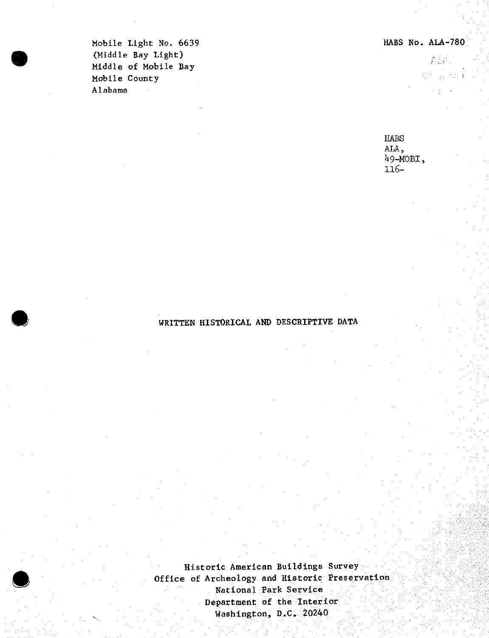para la

Mobile Light No. 6639 HABS No. ALA-780 (Middle Bay Light) Niddle of Mobile Bay<br>
Middle of Mobile Bay<br>
Mobile County Mobile County ' Alabama

> HABS ALA,  $49 - MOBT$ , 116-

# **•** WRITTEN HISTORICAL AND DESCRIPTIVE DATA

Historic American Buildings Survey Office of Archeology and Historic Preservation National Park Service Department of the Interior Washington, D.C. 20240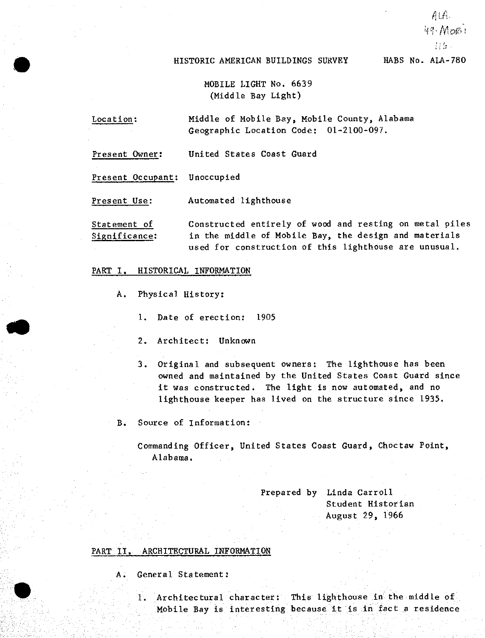## HISTORIC AMERICAN BUILDINGS SURVEY HABS No. ALA-780

*tils*

ALA. 49· More:

MOBILE LIGHT No. 6639 (Middle Bay Light)

- Location: Middle of Mobile Bay, Mobile County, Alabama Geographic Location Code: 01-2100-097.
- Present Owner: United States Coast Guard

Present Occupant: Unoccupied

Present Use: Automated lighthouse

Statement of Constructed entirely of wood and resting on metal piles Significance: in the middle of Mobile Bay, the design and materials used for construction of this lighthouse are unusual.

#### PART I. HISTORICAL INFORMATION

- A. Physical History:
	- 1. Date of erection: 1905
	- 2. Architect: Unknown
	- 3. Original and subsequent owners: The lighthouse has been owned and maintained by the United States Coast Guard since it was constructed. The light is now automated, and no lighthouse keeper has lived on the structure since 1935,
- B. Source of Information:

Commanding Officer, United States Coast Guard, Choctaw Point, Alabama.

> Prepared by Linda Carroll Student Historian August 29, 1966

### PART II, ARCHITECTURAL INFORMATION

- A. General Statement:
	- 1. Architectural character: This lighthouse in the middle of Mobile Bay is interesting because it is in fact <sup>a</sup> residence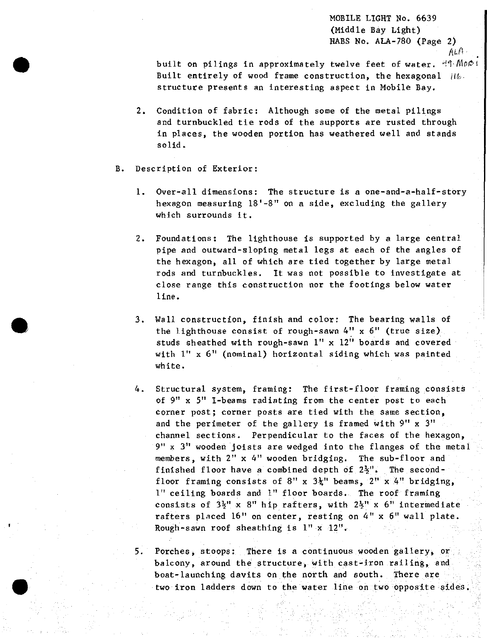MOBILE LIGHT Ho. 6639 (Middle Bay Light) HABS No. ALA-780 (Page 2)  $A$ L $A$ 

built on pilings in approximately twelve feet of water.  $H_1 \text{MOP}$ Built entirely of wood frame construction, the hexagonal  $||b||$ structure presents an interesting aspect in Mobile Bay.

- 2, Condition of fabric: Although some of the metal pilings and turnbuckled tie rods of the supports are rusted through in places, the wooden portion has weathered well and stands solid.
- B. Description of Exterior:
	- 1. Over-all dimensions: The structure is a one-and-a-half-story hexagon measuring 18'-8" on a side, excluding the gallery which surrounds it.
	- 2. Foundations: The lighthouse is supported by <sup>a</sup> large central pipe and outward-sloping metal legs at each of the angles of the hexagon, all of which are tied together by large metal rods and turnbuckles. It was not possible to investigate at close range this construction nor the footings below water line.
	- 3. Wall construction, finish and color: The bearing walls of the lighthouse consist of rough-sawn  $4'' \times 6''$  (true size). studs sheathed with rough-sawn 1" x 12" boards and covered with 1" <sup>x</sup> 6" (nominal) horizontal siding which was painted white.
	- 4. Structural system, framing: The first-floor framing consists of 9" <sup>x</sup> 5" I-beams radiating from the center post to each corner post; corner posts are tied with the same section, and the perimeter of the gallery is framed with 9" x 3" channel sections. Perpendicular to the faces of the hexagon, 9" <sup>x</sup> 3" wooden joists are wedged into the flanges of the metal members, with 2" x 4" wooden bridging. The sub-floor and finished floor have a combined depth of  $2\frac{1}{2}$ ". The secondfloor framing consists of  $8"$  x  $3\frac{1}{4}"$  beams,  $2"$  x  $4"$  bridging, 1" ceiling boards and 1" floor boards. The roof framing consists of  $3\frac{1}{2}$ <sup>n</sup> x 8<sup>n</sup> hip rafters, with  $2\frac{1}{2}$ <sup>n</sup> x 6<sup>n</sup> intermediate rafters placed 16" on center, resting on 4" x 6" wall plate. Rough-sawn roof sheathing is 1" <sup>x</sup> 12".

5. Porches, stoops: There is a continuous wooden gallery, or balcony, around the structure, with cast-iron railing, and boat-launching davits on the north and south. There are two iron ladders down to the water line on two opposite sides.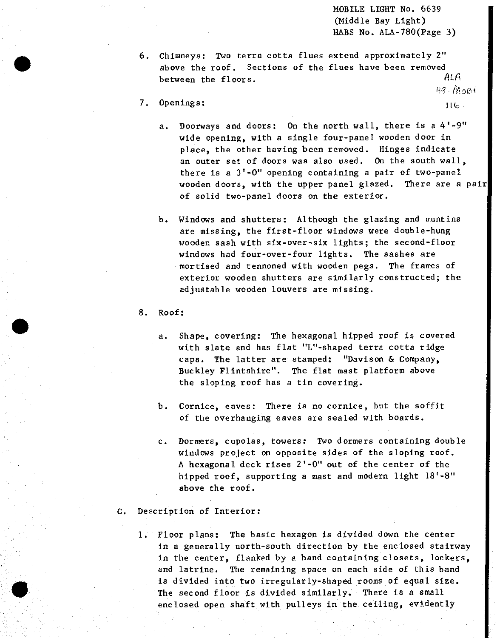MOBILE LIGHT No. 6639 (Middle Bay Light) HABS No. ALA-780(Page 3)

- 6. Chimneys: Two terra cotta flues extend approximately 2" above the roof. Sections of the flues have been removed between the floors.  $ALA$  $49 - 11001$
- 7. Openings: Mathematic Seconds and Seconds and Seconds and Seconds and Seconds and Seconds and Seconds and Seconds and Seconds and Seconds and Seconds and Seconds and Seconds and Seconds and Seconds and Seconds and Second
	- a. Doorways and doors: On the north wall, there is <sup>a</sup> 4'-9" wide opening, with a single four-panel wooden door in place, the other having been removed. Hinges indicate an outer set of doors was also used. On the south wall, there is a 3'-0" opening containing a pair of two-panel wooden doors, with the upper panel glazed. There are a pair of solid two-panel doors on the exterior.
	- b. Windows and shutters: Although the glazing and muntins are missing, the first-floor windows were double-hung wooden sash with six-over-six lights; the second-floor windows had four-over-four lights. The sashes are mortised and tennoned with wooden pegs. The frames of exterior wooden shutters are similarly constructed; the adjustable wooden louvers are missing.
- 8. Roof:
	- a. Shape, covering: The hexagonal hipped roof is covered with slate and has flat "L"-shaped terra cotta ridge caps. The latter are stamped; "Davison & Company, Buckley Flintshire". The flat mast platform above the sloping roof has a tin covering.
	- b. Cornice, eaves: There is no cornice, but the soffit of the overhanging eaves are sealed with boards.
	- c. Dormers, cupolas, towers: Two dormers containing double windows project on opposite sides of the sloping roof. A hexagonal deck rises 2'-0" out of the center of the hipped roof, supporting a mast and modern light 18'-8" above the roof.
- C. Description of Interior:
	- 1. Floor plans; The basic hexagon is divided down the center in a generally north-south direction by the enclosed stairway in the center, flanked by a band containing closets, lockers, and latrine. The remaining space on each side of this band is divided into two irregularly-shaped rooms of equal size. The second floor is divided similarly. There is a small enclosed open shaft with pulleys in the ceiling, evidently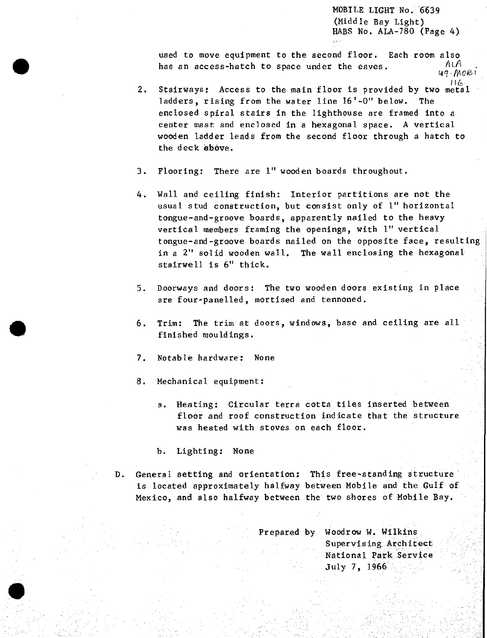MOBILE LIGHT No. 6639 (Middle Bay Light) HABS No. ALA-780 (Page 4)

used to move equipment to the second floor. Each room also<br>has an access-hatch to space updat the eques  $ALA$ has an access-hatch to space under the eaves.<br><sup>49</sup>-*MOB*<sup>i</sup>

- *2.* Stairways: Access to the main floor is provided by two metal ladders, rising from the water line 16'-0" below. The enclosed spiral stairs in the lighthouse are framed into a center mast and enclosed in <sup>a</sup> hexagonal space. <sup>A</sup> vertical wooden ladder leads from the second floor through a hatch to the deck above.
- 3. Flooring: There are 1" wooden boards throughout.
- 4. Wall and ceiling finish: Interior partitions are not the usual stud construction, but consist only of 1" horizontal tongue-and-groove boards, apparently nailed to the heavy vertical members framing the openings, with 1" vertical tongue-and-groove boards nailed on the opposite face, resulting in a 2" solid wooden wall. The wall enclosing the hexagonal stairwell is 6" thick.
- 5. Doorways and doors: The two wooden doors existing in place are four-panelled, mortised and tennoned.
- 6. Trim: The trim at doors, windows, base and ceiling are all finished mouldings.
- 7. Notable hardware: None
- 8. Mechanical equipment:
	- a. Heating: Circular terra cotta tiles inserted between floor and roof construction indicate that the structure was heated with stoves on each floor.
	- b. Lighting: None
- D. General setting and orientation; This free-standing structure is located approximately halfway between Mobile and the Gulf of Mexico, and also halfway between the two shores of Mobile Bay.

Prepared by Woodrow W. Wilkins Supervising Architect National Park Service July 7, 1966